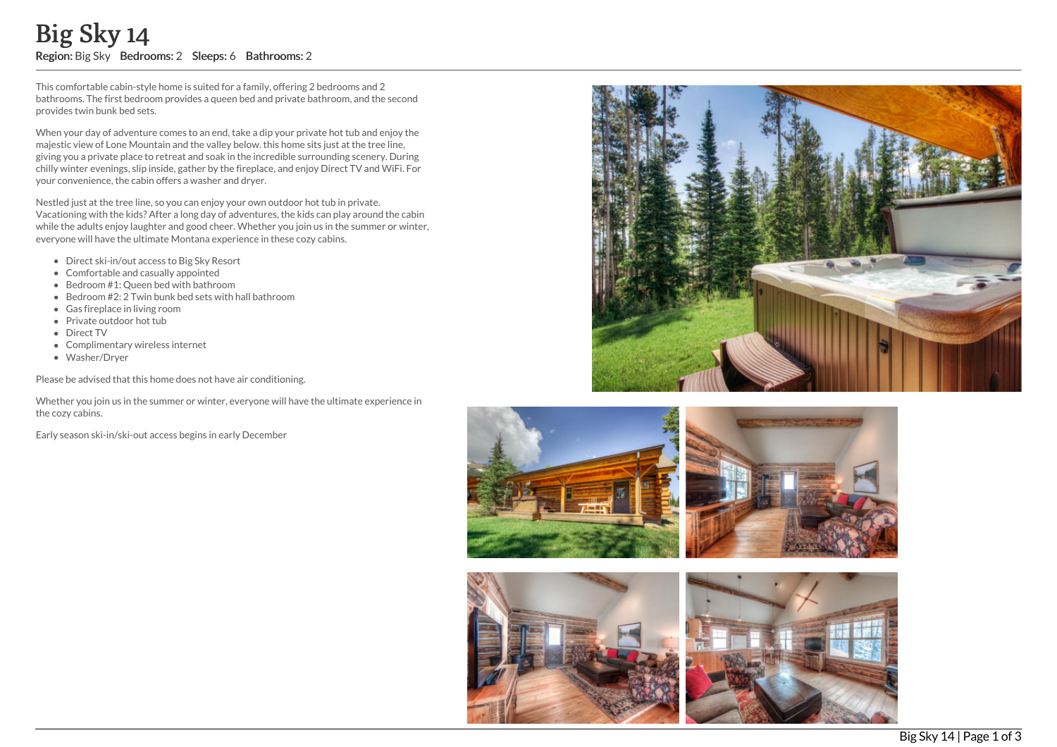This comfortable cabin-style home is suited for a family, offering 2 bedrooms and 2 bathrooms. The first bedroom provides a queen bed and private bathroom, and the second provides twin bunk bed sets.

When your day of adventure comes to an end, take a dip your private hot tub and enjoy the majestic view of Lone Mountain and the valley below. this home sits just at the tree line, giving you a private place to retreat and soak in the incredible surrounding scenery. During chilly winter evenings, slip inside, gather by the fireplace, and enjoy Direct TV and WiFi. For your convenience, the cabin offers a washer and dryer.

Nestled just at the tree line, so you can enjoy your own outdoor hot tub in private. Vacationing with the kids? After a long day of adventures, the kids can play around the cabin while the adults enjoy laughter and good cheer. Whether you join us in the summer or winter, everyone will have the ultimate Montana experience in these cozy cabins.

- Direct ski-in/out access to Big Sky Resort
- Comfortable and casually appointed
- Bedroom #1: Queen bed with bathroom
- Bedroom #2: 2 Twin bunk bed sets with hall bathroom
- Gas fireplace in living room
- Private outdoor hot tub
- Direct TV
- Complimentary wireless internet
- Washer/Dryer

Please be advised that this home does not have air conditioning.

Whether you join us in the summer or winter, everyone will have the ultimate experience in the cozy cabins.

Early season ski-in/ski-out access begins in early December







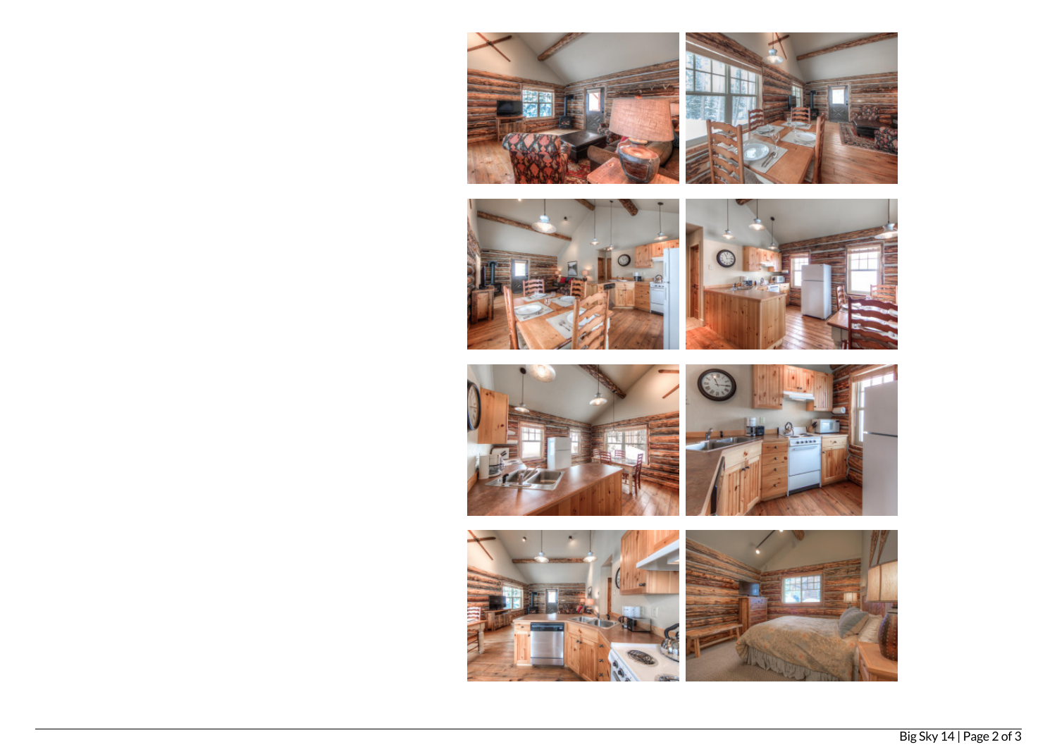